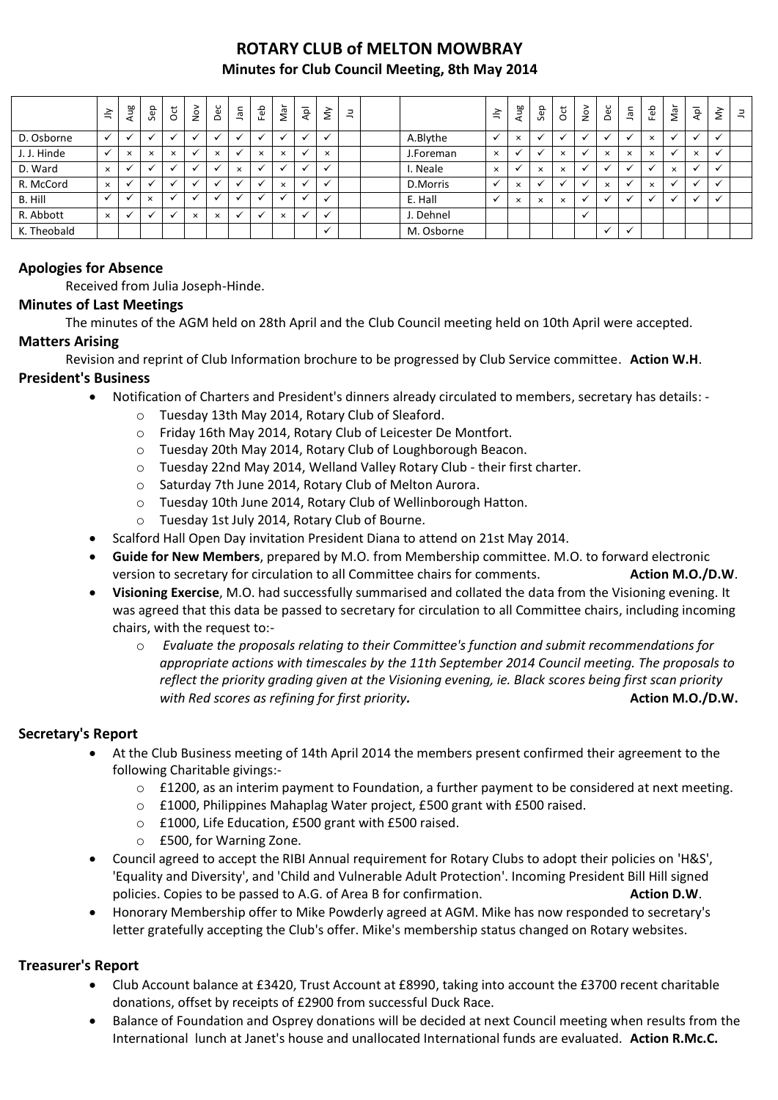## **ROTARY CLUB of MELTON MOWBRAY Minutes for Club Council Meeting, 8th May 2014**

|             | $\preceq$    | Aug                      | Sep      | $\overline{5}$       | $\stackrel{\textstyle\sim}{\sim}$ | Dec      | nal          | Feb                  | Nar      | ρþ                       | $\tilde{\Sigma}$ | $\exists$ |            | 言            | Aug      | Sep                      | $\overline{c}$ | $\sum_{N=1}^{\infty}$ | Dec          | an           | Feb          | Nar      | Apl          | $\grave{\varepsilon}$ | $\exists$ |
|-------------|--------------|--------------------------|----------|----------------------|-----------------------------------|----------|--------------|----------------------|----------|--------------------------|------------------|-----------|------------|--------------|----------|--------------------------|----------------|-----------------------|--------------|--------------|--------------|----------|--------------|-----------------------|-----------|
| D. Osborne  | $\checkmark$ | $\check{ }$              |          | $\check{ }$          |                                   |          |              |                      |          |                          | $\cdot$          |           | A.Blythe   | $\checkmark$ | $\times$ | $\overline{\phantom{a}}$ |                |                       |              |              | $\times$     |          | $\checkmark$ | $\checkmark$          |           |
| J. J. Hinde | $\checkmark$ | $\times$                 | $\times$ | $\times$             |                                   | $\times$ |              | $\times$             | $\times$ |                          | $\times$         |           | J.Foreman  | $\times$     |          | $\ddot{\phantom{0}}$     | $\times$       |                       | $\times$     | $\times$     | $\times$     |          | $\times$     | $\checkmark$          |           |
| D. Ward     | $\times$     |                          |          | $\ddot{\phantom{0}}$ |                                   |          | $\times$     |                      |          |                          |                  |           | I. Neale   | $\times$     |          | $\times$                 | $\times$       |                       |              |              |              | $\times$ | $\checkmark$ | $\checkmark$          |           |
| R. McCord   | $\times$     |                          |          | $\check{ }$          |                                   | $\cdot$  | $\checkmark$ | $\ddot{\phantom{0}}$ | $\times$ | $\overline{\phantom{a}}$ | v                |           | D.Morris   | $\checkmark$ | $\times$ | $\cdot$                  |                |                       | $\times$     |              | $\times$     | M        | $\checkmark$ | $\checkmark$          |           |
| B. Hill     | $\checkmark$ |                          | $\times$ | $\check{ }$          |                                   |          |              |                      |          |                          |                  |           | E. Hall    |              | $\times$ | $\times$                 | $\times$       |                       |              |              | $\checkmark$ |          | $\checkmark$ | $\checkmark$          |           |
| R. Abbott   | $\times$     | $\overline{\phantom{a}}$ |          | $\checkmark$         | $\times$                          | $\times$ | $\checkmark$ | $\ddot{\phantom{0}}$ | $\times$ | $\overline{\phantom{a}}$ | $\checkmark$     |           | J. Dehnel  |              |          |                          |                | $\checkmark$          |              |              |              |          |              |                       |           |
| K. Theobald |              |                          |          |                      |                                   |          |              |                      |          |                          | $\checkmark$     |           | M. Osborne |              |          |                          |                |                       | $\checkmark$ | $\checkmark$ |              |          |              |                       |           |

### **Apologies for Absence**

Received from Julia Joseph-Hinde.

#### **Minutes of Last Meetings**

The minutes of the AGM held on 28th April and the Club Council meeting held on 10th April were accepted.

#### **Matters Arising**

Revision and reprint of Club Information brochure to be progressed by Club Service committee. **Action W.H**. **President's Business**

- Notification of Charters and President's dinners already circulated to members, secretary has details:
	- o Tuesday 13th May 2014, Rotary Club of Sleaford.
	- o Friday 16th May 2014, Rotary Club of Leicester De Montfort.
	- o Tuesday 20th May 2014, Rotary Club of Loughborough Beacon.
	- o Tuesday 22nd May 2014, Welland Valley Rotary Club their first charter.
	- o Saturday 7th June 2014, Rotary Club of Melton Aurora.
	- o Tuesday 10th June 2014, Rotary Club of Wellinborough Hatton.
	- o Tuesday 1st July 2014, Rotary Club of Bourne.
- Scalford Hall Open Day invitation President Diana to attend on 21st May 2014.
- **Guide for New Members**, prepared by M.O. from Membership committee. M.O. to forward electronic version to secretary for circulation to all Committee chairs for comments. **Action M.O./D.W**.
- **Visioning Exercise**, M.O. had successfully summarised and collated the data from the Visioning evening. It was agreed that this data be passed to secretary for circulation to all Committee chairs, including incoming chairs, with the request to:
	- o *Evaluate the proposals relating to their Committee's function and submit recommendations for appropriate actions with timescales by the 11th September 2014 Council meeting. The proposals to reflect the priority grading given at the Visioning evening, ie. Black scores being first scan priority with Red scores as refining for first priority.* **Action M.O./D.W.**

#### **Secretary's Report**

- At the Club Business meeting of 14th April 2014 the members present confirmed their agreement to the following Charitable givings:-
	- $\circ$  £1200, as an interim payment to Foundation, a further payment to be considered at next meeting.
	- o £1000, Philippines Mahaplag Water project, £500 grant with £500 raised.
	- o £1000, Life Education, £500 grant with £500 raised.
	- o £500, for Warning Zone.
- Council agreed to accept the RIBI Annual requirement for Rotary Clubs to adopt their policies on 'H&S', 'Equality and Diversity', and 'Child and Vulnerable Adult Protection'. Incoming President Bill Hill signed policies. Copies to be passed to A.G. of Area B for confirmation. **Action D.W. Action D.W.**
- Honorary Membership offer to Mike Powderly agreed at AGM. Mike has now responded to secretary's letter gratefully accepting the Club's offer. Mike's membership status changed on Rotary websites.

### **Treasurer's Report**

- Club Account balance at £3420, Trust Account at £8990, taking into account the £3700 recent charitable donations, offset by receipts of £2900 from successful Duck Race.
- Balance of Foundation and Osprey donations will be decided at next Council meeting when results from the International lunch at Janet's house and unallocated International funds are evaluated. **Action R.Mc.C.**